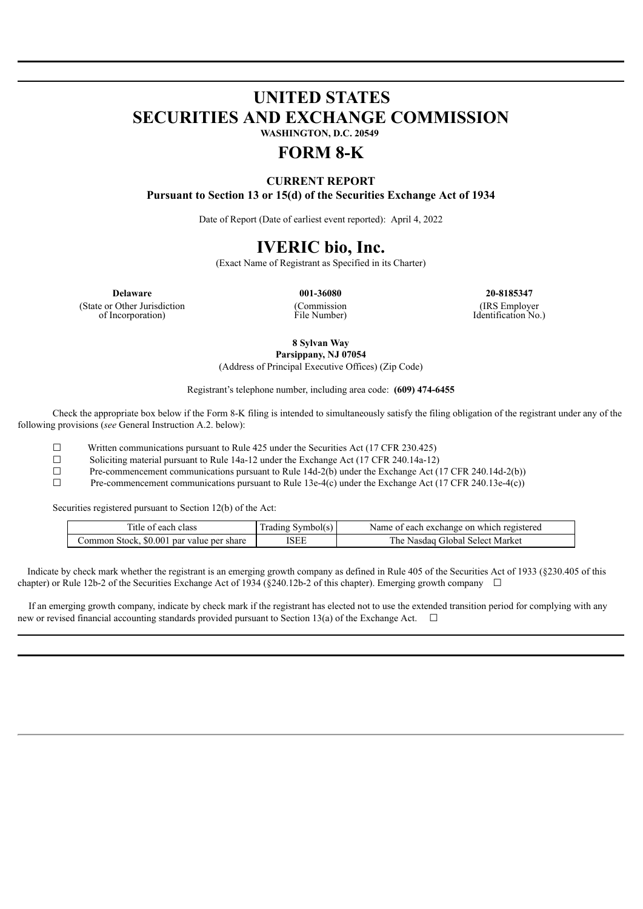# **UNITED STATES SECURITIES AND EXCHANGE COMMISSION**

**WASHINGTON, D.C. 20549**

## **FORM 8-K**

### **CURRENT REPORT Pursuant to Section 13 or 15(d) of the Securities Exchange Act of 1934**

Date of Report (Date of earliest event reported): April 4, 2022

### **IVERIC bio, Inc.**

(Exact Name of Registrant as Specified in its Charter)

(State or Other Jurisdiction of Incorporation)

(Commission File Number)

**Delaware 001-36080 20-8185347** (IRS Employer Identification No.)

> **8 Sylvan Way Parsippany, NJ 07054**

(Address of Principal Executive Offices) (Zip Code)

Registrant's telephone number, including area code: **(609) 474-6455**

Check the appropriate box below if the Form 8-K filing is intended to simultaneously satisfy the filing obligation of the registrant under any of the following provisions (*see* General Instruction A.2. below):

 $□$  Written communications pursuant to Rule 425 under the Securities Act (17 CFR 230.425)<br>Soliciting material pursuant to Rule 14a-12 under the Exchange Act (17 CFR 240.14a-12)

<del>□</del> Soliciting material pursuant to Rule 14a-12 under the Exchange Act (17 CFR 240.14a-12)<br>
Pre-commencement communications pursuant to Rule 14d-2(b) under the Exchange Act (1

Pre-commencement communications pursuant to Rule 14d-2(b) under the Exchange Act (17 CFR 240.14d-2(b))

☐ Pre-commencement communications pursuant to Rule 13e-4(c) under the Exchange Act (17 CFR 240.13e-4(c))

Securities registered pursuant to Section 12(b) of the Act:

| Title of each class                       | Trading Symbol(s) | Name of each exchange on which registered |
|-------------------------------------------|-------------------|-------------------------------------------|
| Common Stock, \$0.001 par value per share | ISEE              | The Nasdag Global Select Market           |

Indicate by check mark whether the registrant is an emerging growth company as defined in Rule 405 of the Securities Act of 1933 (§230.405 of this chapter) or Rule 12b-2 of the Securities Exchange Act of 1934 (§240.12b-2 of this chapter). Emerging growth company  $\Box$ 

If an emerging growth company, indicate by check mark if the registrant has elected not to use the extended transition period for complying with any new or revised financial accounting standards provided pursuant to Section 13(a) of the Exchange Act.  $\Box$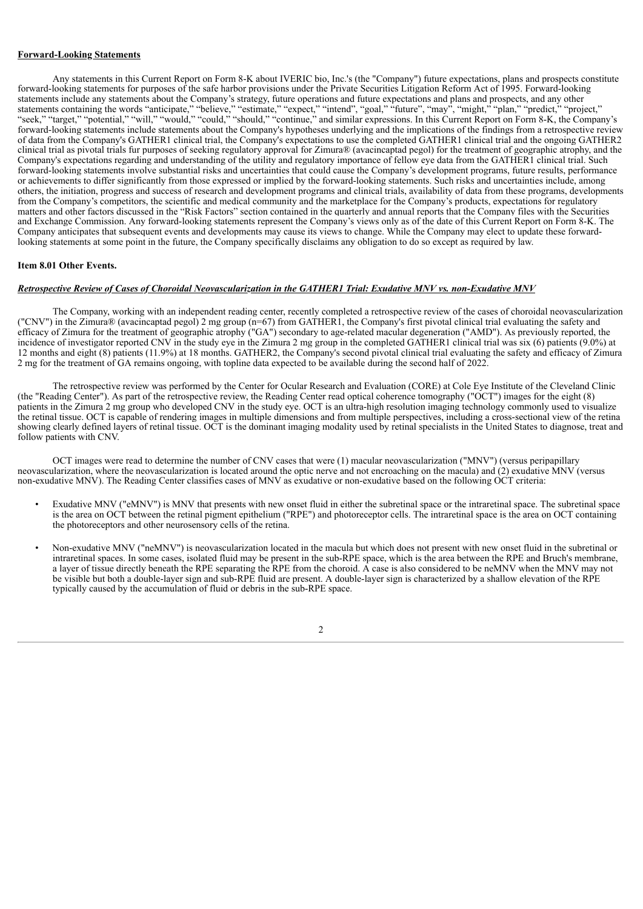#### **Forward-Looking Statements**

Any statements in this Current Report on Form 8-K about IVERIC bio, Inc.'s (the "Company") future expectations, plans and prospects constitute forward-looking statements for purposes of the safe harbor provisions under the Private Securities Litigation Reform Act of 1995. Forward-looking statements include any statements about the Company's strategy, future operations and future expectations and plans and prospects, and any other statements containing the words "anticipate," "believe," "estimate," "expect," "intend", "goal," "future", "may", "might," "plan," "predict," "project," "seek," "target," "potential," "will," "would," "could," "should," "continue," and similar expressions. In this Current Report on Form 8-K, the Company's forward-looking statements include statements about the Company's hypotheses underlying and the implications of the findings from a retrospective review of data from the Company's GATHER1 clinical trial, the Company's expectations to use the completed GATHER1 clinical trial and the ongoing GATHER2 clinical trial as pivotal trials fur purposes of seeking regulatory approval for Zimura® (avacincaptad pegol) for the treatment of geographic atrophy, and the Company's expectations regarding and understanding of the utility and regulatory importance of fellow eye data from the GATHER1 clinical trial. Such forward-looking statements involve substantial risks and uncertainties that could cause the Company's development programs, future results, performance or achievements to differ significantly from those expressed or implied by the forward-looking statements. Such risks and uncertainties include, among others, the initiation, progress and success of research and development programs and clinical trials, availability of data from these programs, developments from the Company's competitors, the scientific and medical community and the marketplace for the Company's products, expectations for regulatory matters and other factors discussed in the "Risk Factors" section contained in the quarterly and annual reports that the Company files with the Securities and Exchange Commission. Any forward-looking statements represent the Company's views only as of the date of this Current Report on Form 8-K. The Company anticipates that subsequent events and developments may cause its views to change. While the Company may elect to update these forwardlooking statements at some point in the future, the Company specifically disclaims any obligation to do so except as required by law.

#### **Item 8.01 Other Events.**

#### Retrospective Review of Cases of Choroidal Neovascularization in the GATHER1 Trial: Exudative MNV vs. non-Exudative MNV

The Company, working with an independent reading center, recently completed a retrospective review of the cases of choroidal neovascularization ("CNV") in the Zimura® (avacincaptad pegol) 2 mg group (n=67) from GATHER1, the Company's first pivotal clinical trial evaluating the safety and efficacy of Zimura for the treatment of geographic atrophy ("GA") secondary to age-related macular degeneration ("AMD"). As previously reported, the incidence of investigator reported CNV in the study eye in the Zimura 2 mg group in the completed GATHER1 clinical trial was six (6) patients (9.0%) at 12 months and eight (8) patients (11.9%) at 18 months. GATHER2, the Company's second pivotal clinical trial evaluating the safety and efficacy of Zimura 2 mg for the treatment of GA remains ongoing, with topline data expected to be available during the second half of 2022.

The retrospective review was performed by the Center for Ocular Research and Evaluation (CORE) at Cole Eye Institute of the Cleveland Clinic (the "Reading Center"). As part of the retrospective review, the Reading Center read optical coherence tomography ("OCT") images for the eight (8) patients in the Zimura 2 mg group who developed CNV in the study eye. OCT is an ultra-high resolution imaging technology commonly used to visualize the retinal tissue. OCT is capable of rendering images in multiple dimensions and from multiple perspectives, including a cross-sectional view of the retina showing clearly defined layers of retinal tissue. OCT is the dominant imaging modality used by retinal specialists in the United States to diagnose, treat and follow patients with CNV.

OCT images were read to determine the number of CNV cases that were (1) macular neovascularization ("MNV") (versus peripapillary neovascularization, where the neovascularization is located around the optic nerve and not encroaching on the macula) and (2) exudative MNV (versus non-exudative MNV). The Reading Center classifies cases of MNV as exudative or non-exudative based on the following OCT criteria:

- Exudative MNV ("eMNV") is MNV that presents with new onset fluid in either the subretinal space or the intraretinal space. The subretinal space is the area on OCT between the retinal pigment epithelium ("RPE") and photoreceptor cells. The intraretinal space is the area on OCT containing the photoreceptors and other neurosensory cells of the retina.
- Non-exudative MNV ("neMNV") is neovascularization located in the macula but which does not present with new onset fluid in the subretinal or intraretinal spaces. In some cases, isolated fluid may be present in the sub-RPE space, which is the area between the RPE and Bruch's membrane, a layer of tissue directly beneath the RPE separating the RPE from the choroid. A case is also considered to be neMNV when the MNV may not be visible but both a double-layer sign and sub-RPE fluid are present. A double-layer sign is characterized by a shallow elevation of the RPE typically caused by the accumulation of fluid or debris in the sub-RPE space.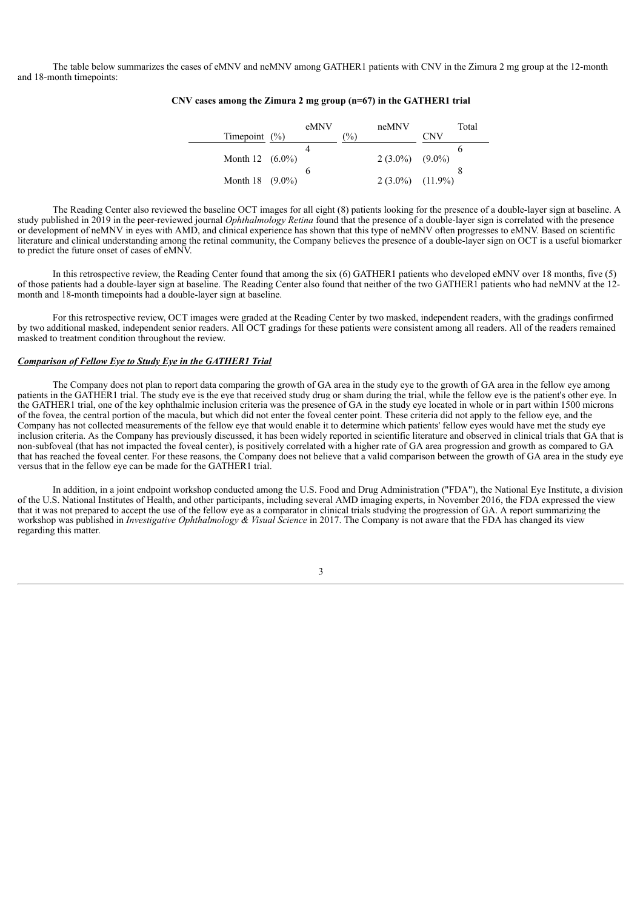The table below summarizes the cases of eMNV and neMNV among GATHER1 patients with CNV in the Zimura 2 mg group at the 12-month and 18-month timepoints:

#### Timepoint (%) eMNV neMNV  $(^{0}/_{0})$ Total **CNV** Month 12 (6.0%) 4  $2(3.0\%)$ 6  $(9.0\%)$ Month 18 (9.0%) 6  $2(3.0\%)$ 8  $(11.9%$

#### **CNV cases among the Zimura 2 mg group (n=67) in the GATHER1 trial**

The Reading Center also reviewed the baseline OCT images for all eight (8) patients looking for the presence of a double-layer sign at baseline. A study published in 2019 in the peer-reviewed journal *Ophthalmology Retina* found that the presence of a double-layer sign is correlated with the presence or development of neMNV in eyes with AMD, and clinical experience has shown that this type of neMNV often progresses to eMNV. Based on scientific literature and clinical understanding among the retinal community, the Company believes the presence of a double-layer sign on OCT is a useful biomarker to predict the future onset of cases of eMNV.

In this retrospective review, the Reading Center found that among the six (6) GATHER1 patients who developed eMNV over 18 months, five (5) of those patients had a double-layer sign at baseline. The Reading Center also found that neither of the two GATHER1 patients who had neMNV at the 12 month and 18-month timepoints had a double-layer sign at baseline.

For this retrospective review, OCT images were graded at the Reading Center by two masked, independent readers, with the gradings confirmed by two additional masked, independent senior readers. All OCT gradings for these patients were consistent among all readers. All of the readers remained masked to treatment condition throughout the review.

#### *Comparison of Fellow Eye to Study Eye in the GATHER1 Trial*

The Company does not plan to report data comparing the growth of GA area in the study eye to the growth of GA area in the fellow eye among patients in the GATHER1 trial. The study eye is the eye that received study drug or sham during the trial, while the fellow eye is the patient's other eye. In the GATHER1 trial, one of the key ophthalmic inclusion criteria was the presence of GA in the study eye located in whole or in part within 1500 microns of the fovea, the central portion of the macula, but which did not enter the foveal center point. These criteria did not apply to the fellow eye, and the Company has not collected measurements of the fellow eye that would enable it to determine which patients' fellow eyes would have met the study eye inclusion criteria. As the Company has previously discussed, it has been widely reported in scientific literature and observed in clinical trials that GA that is non-subfoveal (that has not impacted the foveal center), is positively correlated with a higher rate of GA area progression and growth as compared to GA that has reached the foveal center. For these reasons, the Company does not believe that a valid comparison between the growth of GA area in the study eye versus that in the fellow eye can be made for the GATHER1 trial.

In addition, in a joint endpoint workshop conducted among the U.S. Food and Drug Administration ("FDA"), the National Eye Institute, a division of the U.S. National Institutes of Health, and other participants, including several AMD imaging experts, in November 2016, the FDA expressed the view that it was not prepared to accept the use of the fellow eye as a comparator in clinical trials studying the progression of GA. A report summarizing the workshop was published in *Investigative Ophthalmology & Visual Science* in 2017. The Company is not aware that the FDA has changed its view regarding this matter.